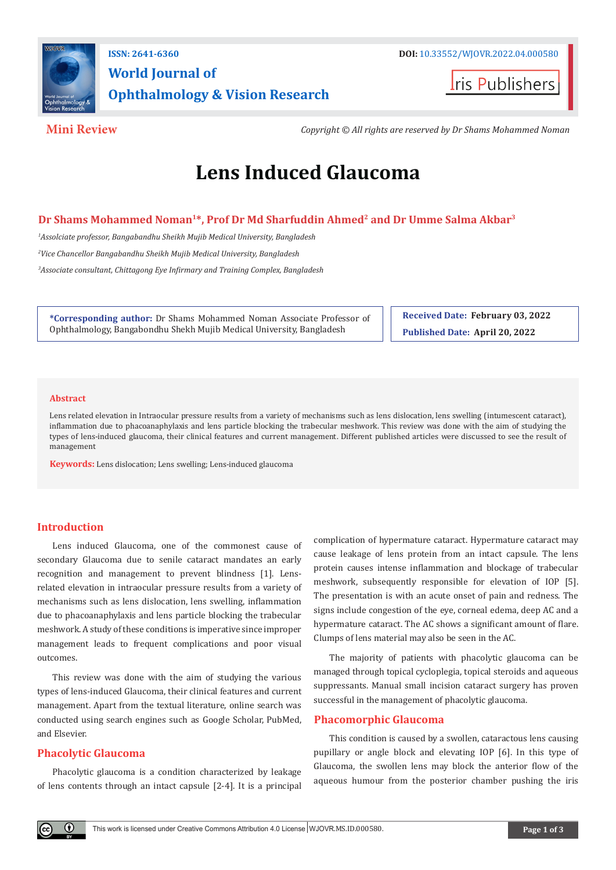

## **ISSN: 2641-6360 DOI:** [10.33552/WJOVR.2022.04.000580](http://dx.doi.org/10.33552/WJOVR.2022.04.000580) **World Journal of Ophthalmology & Vision Research**



**Mini Review** *Copyright © All rights are reserved by Dr Shams Mohammed Noman*

# **Lens Induced Glaucoma**

#### Dr Shams Mohammed Noman<sup>1\*</sup>, Prof Dr Md Sharfuddin Ahmed<sup>2</sup> and Dr Umme Salma Akbar<sup>3</sup>

*1 Assolciate professor, Bangabandhu Sheikh Mujib Medical University, Bangladesh 2 Vice Chancellor Bangabandhu Sheikh Mujib Medical University, Bangladesh 3 Associate consultant, Chittagong Eye Infirmary and Training Complex, Bangladesh*

**\*Corresponding author:** Dr Shams Mohammed Noman Associate Professor of Ophthalmology, Bangabondhu Shekh Mujib Medical University, Bangladesh

**Received Date: February 03, 2022 Published Date: April 20, 2022**

#### **Abstract**

Lens related elevation in Intraocular pressure results from a variety of mechanisms such as lens dislocation, lens swelling (intumescent cataract), inflammation due to phacoanaphylaxis and lens particle blocking the trabecular meshwork. This review was done with the aim of studying the types of lens-induced glaucoma, their clinical features and current management. Different published articles were discussed to see the result of management

**Keywords:** Lens dislocation; Lens swelling; Lens-induced glaucoma

#### **Introduction**

Lens induced Glaucoma, one of the commonest cause of secondary Glaucoma due to senile cataract mandates an early recognition and management to prevent blindness [1]. Lensrelated elevation in intraocular pressure results from a variety of mechanisms such as lens dislocation, lens swelling, inflammation due to phacoanaphylaxis and lens particle blocking the trabecular meshwork. A study of these conditions is imperative since improper management leads to frequent complications and poor visual outcomes.

This review was done with the aim of studying the various types of lens-induced Glaucoma, their clinical features and current management. Apart from the textual literature, online search was conducted using search engines such as Google Scholar, PubMed, and Elsevier.

### **Phacolytic Glaucoma**

 $\odot$ 

Phacolytic glaucoma is a condition characterized by leakage of lens contents through an intact capsule [2-4]. It is a principal complication of hypermature cataract. Hypermature cataract may cause leakage of lens protein from an intact capsule. The lens protein causes intense inflammation and blockage of trabecular meshwork, subsequently responsible for elevation of IOP [5]. The presentation is with an acute onset of pain and redness. The signs include congestion of the eye, corneal edema, deep AC and a hypermature cataract. The AC shows a significant amount of flare. Clumps of lens material may also be seen in the AC.

The majority of patients with phacolytic glaucoma can be managed through topical cycloplegia, topical steroids and aqueous suppressants. Manual small incision cataract surgery has proven successful in the management of phacolytic glaucoma.

#### **Phacomorphic Glaucoma**

This condition is caused by a swollen, cataractous lens causing pupillary or angle block and elevating IOP [6]. In this type of Glaucoma, the swollen lens may block the anterior flow of the aqueous humour from the posterior chamber pushing the iris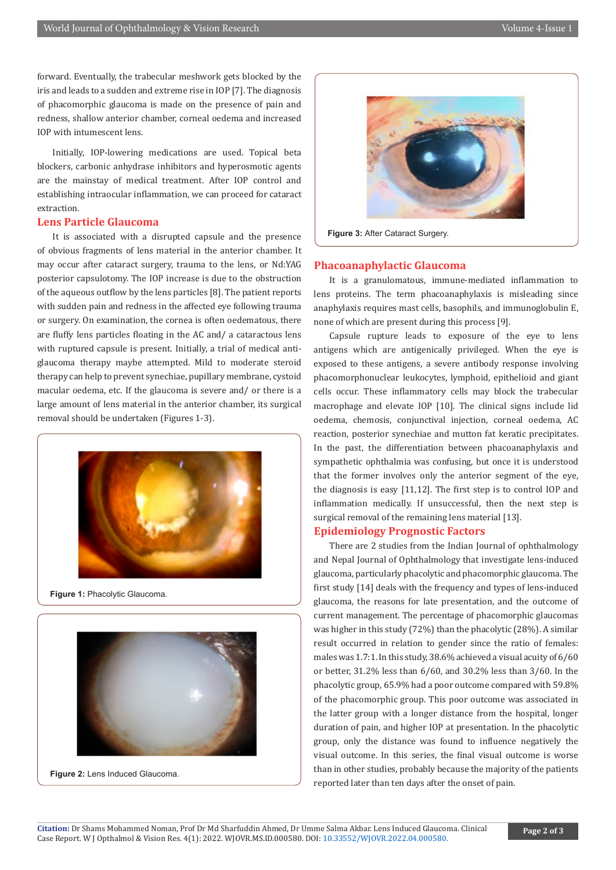forward. Eventually, the trabecular meshwork gets blocked by the iris and leads to a sudden and extreme rise in IOP [7]. The diagnosis of phacomorphic glaucoma is made on the presence of pain and redness, shallow anterior chamber, corneal oedema and increased IOP with intumescent lens.

Initially, IOP-lowering medications are used. Topical beta blockers, carbonic anhydrase inhibitors and hyperosmotic agents are the mainstay of medical treatment. After IOP control and establishing intraocular inflammation, we can proceed for cataract extraction.

#### **Lens Particle Glaucoma**

It is associated with a disrupted capsule and the presence of obvious fragments of lens material in the anterior chamber. It may occur after cataract surgery, trauma to the lens, or Nd:YAG posterior capsulotomy. The IOP increase is due to the obstruction of the aqueous outflow by the lens particles [8]. The patient reports with sudden pain and redness in the affected eye following trauma or surgery. On examination, the cornea is often oedematous, there are fluffy lens particles floating in the AC and/ a cataractous lens with ruptured capsule is present. Initially, a trial of medical antiglaucoma therapy maybe attempted. Mild to moderate steroid therapy can help to prevent synechiae, pupillary membrane, cystoid macular oedema, etc. If the glaucoma is severe and/ or there is a large amount of lens material in the anterior chamber, its surgical removal should be undertaken (Figures 1-3).



**Figure 1:** Phacolytic Glaucoma.



**Figure 2:** Lens Induced Glaucoma.



**Figure 3: After Cataract Surgery.** 

#### **Phacoanaphylactic Glaucoma**

It is a granulomatous, immune-mediated inflammation to lens proteins. The term phacoanaphylaxis is misleading since anaphylaxis requires mast cells, basophils, and immunoglobulin E, none of which are present during this process [9].

Capsule rupture leads to exposure of the eye to lens antigens which are antigenically privileged. When the eye is exposed to these antigens, a severe antibody response involving phacomorphonuclear leukocytes, lymphoid, epithelioid and giant cells occur. These inflammatory cells may block the trabecular macrophage and elevate IOP [10]. The clinical signs include lid oedema, chemosis, conjunctival injection, corneal oedema, AC reaction, posterior synechiae and mutton fat keratic precipitates. In the past, the differentiation between phacoanaphylaxis and sympathetic ophthalmia was confusing, but once it is understood that the former involves only the anterior segment of the eye, the diagnosis is easy [11,12]. The first step is to control IOP and inflammation medically. If unsuccessful, then the next step is surgical removal of the remaining lens material [13].

#### **Epidemiology Prognostic Factors**

There are 2 studies from the Indian Journal of ophthalmology and Nepal Journal of Ophthalmology that investigate lens-induced glaucoma, particularly phacolytic and phacomorphic glaucoma. The first study [14] deals with the frequency and types of lens-induced glaucoma, the reasons for late presentation, and the outcome of current management. The percentage of phacomorphic glaucomas was higher in this study (72%) than the phacolytic (28%). A similar result occurred in relation to gender since the ratio of females: males was 1.7:1. In this study, 38.6% achieved a visual acuity of 6/60 or better, 31.2% less than 6/60, and 30.2% less than 3/60. In the phacolytic group, 65.9% had a poor outcome compared with 59.8% of the phacomorphic group. This poor outcome was associated in the latter group with a longer distance from the hospital, longer duration of pain, and higher IOP at presentation. In the phacolytic group, only the distance was found to influence negatively the visual outcome. In this series, the final visual outcome is worse than in other studies, probably because the majority of the patients reported later than ten days after the onset of pain.